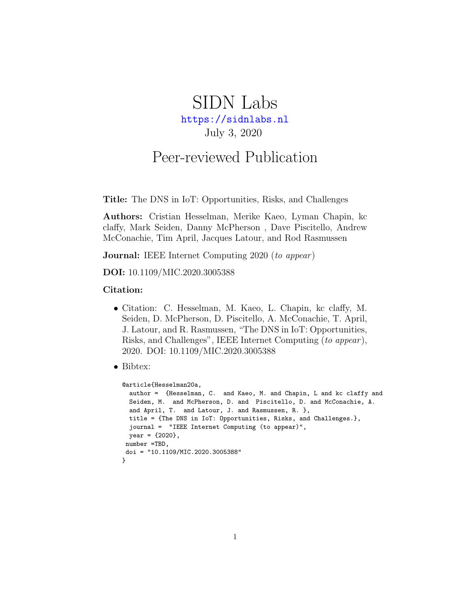# SIDN Labs <https://sidnlabs.nl> July 3, 2020

# Peer-reviewed Publication

Title: The DNS in IoT: Opportunities, Risks, and Challenges

Authors: Cristian Hesselman, Merike Kaeo, Lyman Chapin, kc claffy, Mark Seiden, Danny McPherson , Dave Piscitello, Andrew McConachie, Tim April, Jacques Latour, and Rod Rasmussen

**Journal:** IEEE Internet Computing 2020 (to appear)

DOI: 10.1109/MIC.2020.3005388

#### Citation:

- Citation: C. Hesselman, M. Kaeo, L. Chapin, kc claffy, M. Seiden, D. McPherson, D. Piscitello, A. McConachie, T. April, J. Latour, and R. Rasmussen, "The DNS in IoT: Opportunities, Risks, and Challenges", IEEE Internet Computing (to appear), 2020. DOI: 10.1109/MIC.2020.3005388
- Bibtex:

```
@article{Hesselman20a,
  author = {Hesselman, C. and Kaeo, M. and Chapin, L and kc claffy and
  Seiden, M. and McPherson, D. and Piscitello, D. and McConachie, A.
  and April, T. and Latour, J. and Rasmussen, R. },
  title = {The DNS in IoT: Opportunities, Risks, and Challenges.},
  journal = "IEEE Internet Computing (to appear)",
 year = {2020},
number =TBD,
doi = "10.1109/MIC.2020.3005388"
}
```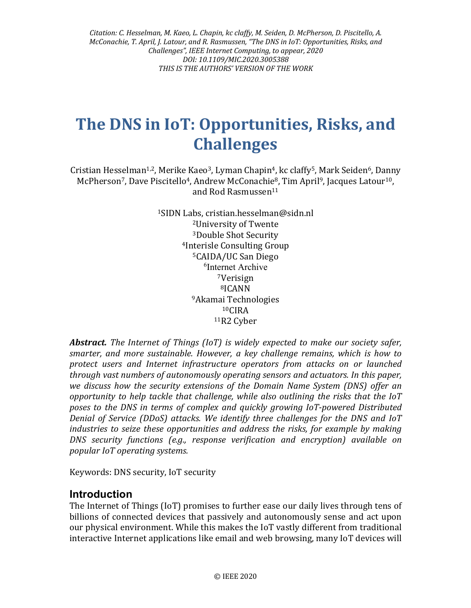*Citation: C. Hesselman, M. Kaeo, L. Chapin, kc claffy, M. Seiden, D. McPherson, D. Piscitello, A. McConachie, T. April, J. Latour, and R. Rasmussen, "The DNS in IoT: Opportunities, Risks, and Challenges", IEEE Internet Computing, to appear, 2020 DOI: 10.1109/MIC.2020.3005388 THIS IS THE AUTHORS' VERSION OF THE WORK*

# **The DNS in IoT: Opportunities, Risks, and Challenges**

Cristian Hesselman<sup>1,2</sup>, Merike Kaeo<sup>3</sup>, Lyman Chapin<sup>4</sup>, kc claffy<sup>5</sup>, Mark Seiden<sup>6</sup>, Danny McPherson<sup>7</sup>, Dave Piscitello<sup>4</sup>, Andrew McConachie<sup>8</sup>, Tim April<sup>9</sup>, Jacques Latour<sup>10</sup>, and Rod Rasmussen11

> 1SIDN Labs, cristian.hesselman@sidn.nl 2University of Twente 3Double Shot Security 4Interisle Consulting Group 5CAIDA/UC San Diego 6 Internet Archive 7Verisign 8ICANN 9Akamai Technologies  $10C$ IRA 11R2 Cyber

*Abstract. The Internet of Things (IoT) is widely expected to make our society safer, smarter, and more sustainable. However, a key challenge remains, which is how to protect users and Internet infrastructure operators from attacks on or launched through vast numbers of autonomously operating sensors and actuators. In this paper, we discuss how the security extensions of the Domain Name System (DNS) offer an opportunity to help tackle that challenge, while also outlining the risks that the IoT poses to the DNS in terms of complex and quickly growing IoT-powered Distributed Denial of Service (DDoS) attacks. We identify three challenges for the DNS and IoT industries to seize these opportunities and address the risks, for example by making DNS security functions (e.g., response verification and encryption) available on popular IoT operating systems.*

Keywords: DNS security, IoT security

#### **Introduction**

The Internet of Things (IoT) promises to further ease our daily lives through tens of billions of connected devices that passively and autonomously sense and act upon our physical environment. While this makes the IoT vastly different from traditional interactive Internet applications like email and web browsing, many IoT devices will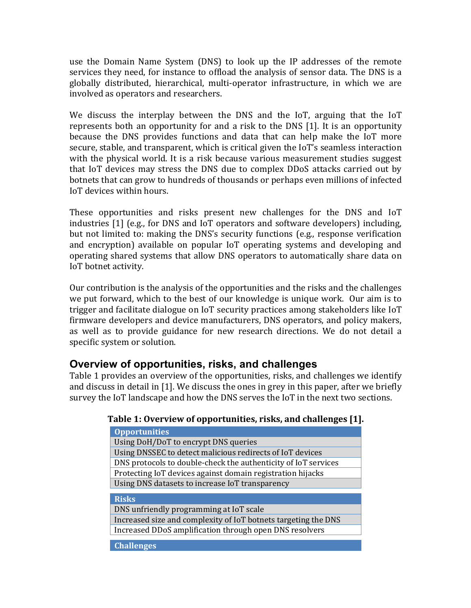use the Domain Name System (DNS) to look up the IP addresses of the remote services they need, for instance to offload the analysis of sensor data. The DNS is a globally distributed, hierarchical, multi-operator infrastructure, in which we are involved as operators and researchers.

We discuss the interplay between the DNS and the IoT, arguing that the IoT represents both an opportunity for and a risk to the DNS [1]. It is an opportunity because the DNS provides functions and data that can help make the IoT more secure, stable, and transparent, which is critical given the IoT's seamless interaction with the physical world. It is a risk because various measurement studies suggest that IoT devices may stress the DNS due to complex DDoS attacks carried out by botnets that can grow to hundreds of thousands or perhaps even millions of infected IoT devices within hours.

These opportunities and risks present new challenges for the DNS and IoT industries [1] (e.g., for DNS and IoT operators and software developers) including, but not limited to: making the DNS's security functions (e.g., response verification and encryption) available on popular IoT operating systems and developing and operating shared systems that allow DNS operators to automatically share data on IoT botnet activity.

Our contribution is the analysis of the opportunities and the risks and the challenges we put forward, which to the best of our knowledge is unique work. Our aim is to trigger and facilitate dialogue on IoT security practices among stakeholders like IoT firmware developers and device manufacturers, DNS operators, and policy makers, as well as to provide guidance for new research directions. We do not detail a specific system or solution.

## **Overview of opportunities, risks, and challenges**

Table 1 provides an overview of the opportunities, risks, and challenges we identify and discuss in detail in [1]. We discuss the ones in grey in this paper, after we briefly survey the IoT landscape and how the DNS serves the IoT in the next two sections.

#### **Table 1: Overview of opportunities, risks, and challenges [1].**

| <b>Opportunities</b>                                           |
|----------------------------------------------------------------|
| Using DoH/DoT to encrypt DNS queries                           |
| Using DNSSEC to detect malicious redirects of IoT devices      |
| DNS protocols to double-check the authenticity of IoT services |
| Protecting IoT devices against domain registration hijacks     |
| Using DNS datasets to increase IoT transparency                |
| <b>Risks</b>                                                   |
| DNS unfriendly programming at IoT scale                        |
| Increased size and complexity of IoT botnets targeting the DNS |
| Increased DDoS amplification through open DNS resolvers        |
| <b>Challenges</b>                                              |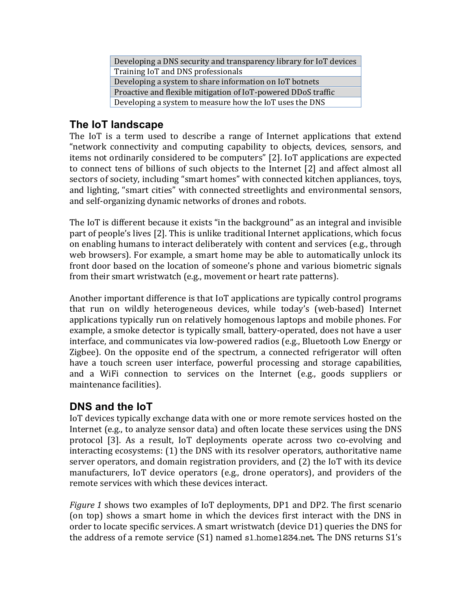| Developing a DNS security and transparency library for IoT devices |
|--------------------------------------------------------------------|
| Training IoT and DNS professionals                                 |
| Developing a system to share information on IoT botnets            |
| Proactive and flexible mitigation of IoT-powered DDoS traffic      |
| Developing a system to measure how the IoT uses the DNS            |

## **The IoT landscape**

The IoT is a term used to describe a range of Internet applications that extend "network connectivity and computing capability to objects, devices, sensors, and items not ordinarily considered to be computers" [2]. IoT applications are expected to connect tens of billions of such objects to the Internet [2] and affect almost all sectors of society, including "smart homes" with connected kitchen appliances, toys, and lighting, "smart cities" with connected streetlights and environmental sensors, and self-organizing dynamic networks of drones and robots.

The IoT is different because it exists "in the background" as an integral and invisible part of people's lives [2]. This is unlike traditional Internet applications, which focus on enabling humans to interact deliberately with content and services (e.g., through web browsers). For example, a smart home may be able to automatically unlock its front door based on the location of someone's phone and various biometric signals from their smart wristwatch (e.g., movement or heart rate patterns).

Another important difference is that IoT applications are typically control programs that run on wildly heterogeneous devices, while today's (web-based) Internet applications typically run on relatively homogenous laptops and mobile phones. For example, a smoke detector is typically small, battery-operated, does not have a user interface, and communicates via low-powered radios (e.g., Bluetooth Low Energy or Zigbee). On the opposite end of the spectrum, a connected refrigerator will often have a touch screen user interface, powerful processing and storage capabilities, and a WiFi connection to services on the Internet (e.g., goods suppliers or maintenance facilities).

## **DNS and the IoT**

IoT devices typically exchange data with one or more remote services hosted on the Internet (e.g., to analyze sensor data) and often locate these services using the DNS protocol [3]. As a result, IoT deployments operate across two co-evolving and interacting ecosystems: (1) the DNS with its resolver operators, authoritative name server operators, and domain registration providers, and (2) the IoT with its device manufacturers, IoT device operators (e.g., drone operators), and providers of the remote services with which these devices interact.

*Figure 1* shows two examples of IoT deployments, DP1 and DP2. The first scenario (on top) shows a smart home in which the devices first interact with the DNS in order to locate specific services. A smart wristwatch (device D1) queries the DNS for the address of a remote service (S1) named s1.home1234.net. The DNS returns S1's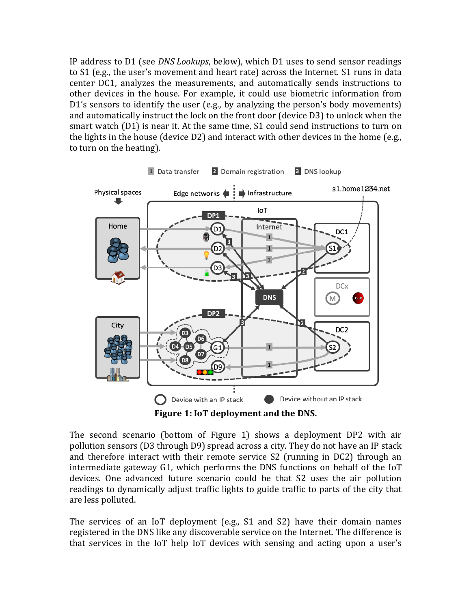IP address to D1 (see *DNS Lookups*, below), which D1 uses to send sensor readings to S1 (e.g., the user's movement and heart rate) across the Internet. S1 runs in data center DC1, analyzes the measurements, and automatically sends instructions to other devices in the house. For example, it could use biometric information from D1's sensors to identify the user (e.g., by analyzing the person's body movements) and automatically instruct the lock on the front door (device D3) to unlock when the smart watch (D1) is near it. At the same time, S1 could send instructions to turn on the lights in the house (device D2) and interact with other devices in the home (e.g., to turn on the heating).



**Figure 1: IoT deployment and the DNS.**

The second scenario (bottom of Figure 1) shows a deployment DP2 with air pollution sensors (D3 through D9) spread across a city. They do not have an IP stack and therefore interact with their remote service S2 (running in DC2) through an intermediate gateway G1, which performs the DNS functions on behalf of the IoT devices. One advanced future scenario could be that S2 uses the air pollution readings to dynamically adjust traffic lights to guide traffic to parts of the city that are less polluted.

The services of an IoT deployment (e.g., S1 and S2) have their domain names registered in the DNS like any discoverable service on the Internet. The difference is that services in the IoT help IoT devices with sensing and acting upon a user's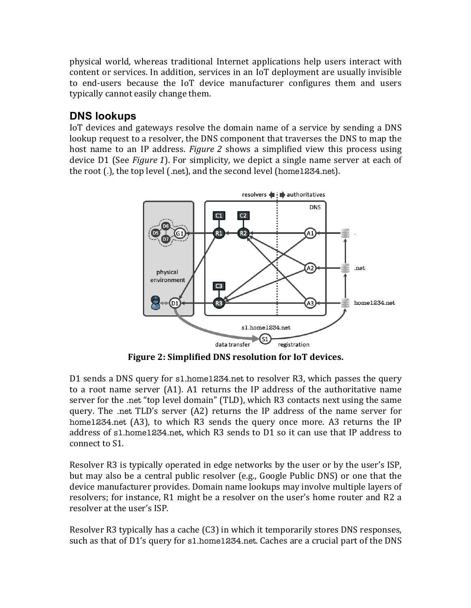physical world, whereas traditional Internet applications help users interact with content or services. In addition, services in an IoT deployment are usually invisible to end-users because the IoT device manufacturer configures them and users typically cannot easily change them.

## **DNS lookups**

IoT devices and gateways resolve the domain name of a service by sending a DNS lookup request to a resolver, the DNS component that traverses the DNS to map the host name to an IP address. *Figure 2* shows a simplified view this process using device D1 (See *Figure 1*). For simplicity, we depict a single name server at each of the root (.), the top level (.net), and the second level (home1234.net).



**Figure 2: Simplified DNS resolution for IoT devices.**

D1 sends a DNS query for s1.home1234.net to resolver R3, which passes the query to a root name server (A1). A1 returns the IP address of the authoritative name server for the .net "top level domain" (TLD), which R3 contacts next using the same query. The .net TLD's server (A2) returns the IP address of the name server for home1234.net (A3), to which R3 sends the query once more. A3 returns the IP address of s1.home1234.net, which R3 sends to D1 so it can use that IP address to connect to S1.

Resolver R3 is typically operated in edge networks by the user or by the user's ISP, but may also be a central public resolver (e.g., Google Public DNS) or one that the device manufacturer provides. Domain name lookups may involve multiple layers of resolvers; for instance, R1 might be a resolver on the user's home router and R2 a resolver at the user's ISP.

Resolver R3 typically has a cache (C3) in which it temporarily stores DNS responses, such as that of D1's query for s1.home1234.net. Caches are a crucial part of the DNS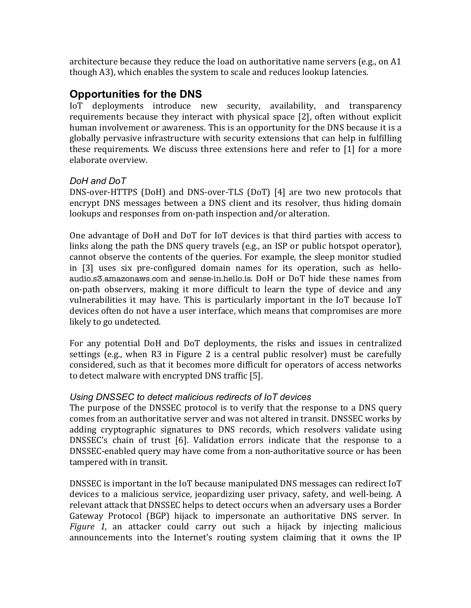architecture because they reduce the load on authoritative name servers (e.g., on A1 though A3), which enables the system to scale and reduces lookup latencies.

## **Opportunities for the DNS**

IoT deployments introduce new security, availability, and transparency requirements because they interact with physical space [2], often without explicit human involvement or awareness. This is an opportunity for the DNS because it is a globally pervasive infrastructure with security extensions that can help in fulfilling these requirements. We discuss three extensions here and refer to [1] for a more elaborate overview.

#### *DoH and DoT*

DNS-over-HTTPS (DoH) and DNS-over-TLS (DoT) [4] are two new protocols that encrypt DNS messages between a DNS client and its resolver, thus hiding domain lookups and responses from on-path inspection and/or alteration.

One advantage of DoH and DoT for IoT devices is that third parties with access to links along the path the DNS query travels (e.g., an ISP or public hotspot operator), cannot observe the contents of the queries. For example, the sleep monitor studied in [3] uses six pre-configured domain names for its operation, such as helloaudio.s3.amazonaws.com and sense-in.hello.is. DoH or DoT hide these names from on-path observers, making it more difficult to learn the type of device and any vulnerabilities it may have. This is particularly important in the IoT because IoT devices often do not have a user interface, which means that compromises are more likely to go undetected.

For any potential DoH and DoT deployments, the risks and issues in centralized settings (e.g., when R3 in Figure 2 is a central public resolver) must be carefully considered, such as that it becomes more difficult for operators of access networks to detect malware with encrypted DNS traffic [5].

#### *Using DNSSEC to detect malicious redirects of IoT devices*

The purpose of the DNSSEC protocol is to verify that the response to a DNS query comes from an authoritative server and was not altered in transit. DNSSEC works by adding cryptographic signatures to DNS records, which resolvers validate using DNSSEC's chain of trust [6]. Validation errors indicate that the response to a DNSSEC-enabled query may have come from a non-authoritative source or has been tampered with in transit.

DNSSEC is important in the IoT because manipulated DNS messages can redirect IoT devices to a malicious service, jeopardizing user privacy, safety, and well-being. A relevant attack that DNSSEC helps to detect occurs when an adversary uses a Border Gateway Protocol (BGP) hijack to impersonate an authoritative DNS server. In *Figure 1,* an attacker could carry out such a hijack by injecting malicious announcements into the Internet's routing system claiming that it owns the IP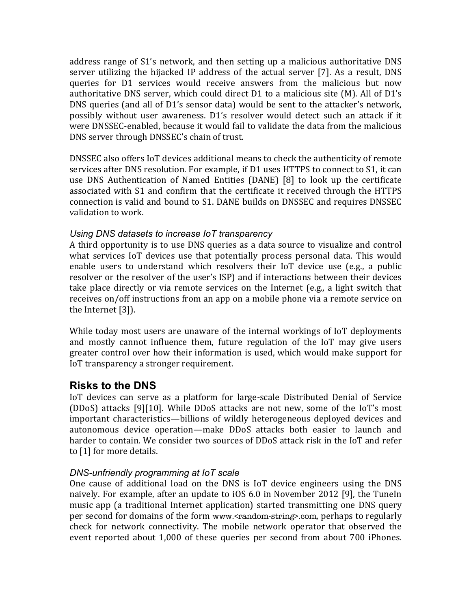address range of S1's network, and then setting up a malicious authoritative DNS server utilizing the hijacked IP address of the actual server [7]. As a result, DNS queries for D1 services would receive answers from the malicious but now authoritative DNS server, which could direct D1 to a malicious site (M). All of D1's DNS queries (and all of D1's sensor data) would be sent to the attacker's network, possibly without user awareness. D1's resolver would detect such an attack if it were DNSSEC-enabled, because it would fail to validate the data from the malicious DNS server through DNSSEC's chain of trust.

DNSSEC also offers IoT devices additional means to check the authenticity of remote services after DNS resolution. For example, if D1 uses HTTPS to connect to S1, it can use DNS Authentication of Named Entities (DANE) [8] to look up the certificate associated with S1 and confirm that the certificate it received through the HTTPS connection is valid and bound to S1. DANE builds on DNSSEC and requires DNSSEC validation to work.

#### *Using DNS datasets to increase IoT transparency*

A third opportunity is to use DNS queries as a data source to visualize and control what services IoT devices use that potentially process personal data. This would enable users to understand which resolvers their IoT device use (e.g., a public resolver or the resolver of the user's ISP) and if interactions between their devices take place directly or via remote services on the Internet (e.g., a light switch that receives on/off instructions from an app on a mobile phone via a remote service on the Internet [3]).

While today most users are unaware of the internal workings of IoT deployments and mostly cannot influence them, future regulation of the IoT may give users greater control over how their information is used, which would make support for IoT transparency a stronger requirement.

## **Risks to the DNS**

IoT devices can serve as a platform for large-scale Distributed Denial of Service (DDoS) attacks [9][10]. While DDoS attacks are not new, some of the IoT's most important characteristics—billions of wildly heterogeneous deployed devices and autonomous device operation—make DDoS attacks both easier to launch and harder to contain. We consider two sources of DDoS attack risk in the IoT and refer to [1] for more details.

#### *DNS-unfriendly programming at IoT scale*

One cause of additional load on the DNS is IoT device engineers using the DNS naively. For example, after an update to iOS 6.0 in November 2012 [9], the TuneIn music app (a traditional Internet application) started transmitting one DNS query per second for domains of the form www.<random-string>.com, perhaps to regularly check for network connectivity. The mobile network operator that observed the event reported about 1,000 of these queries per second from about 700 iPhones.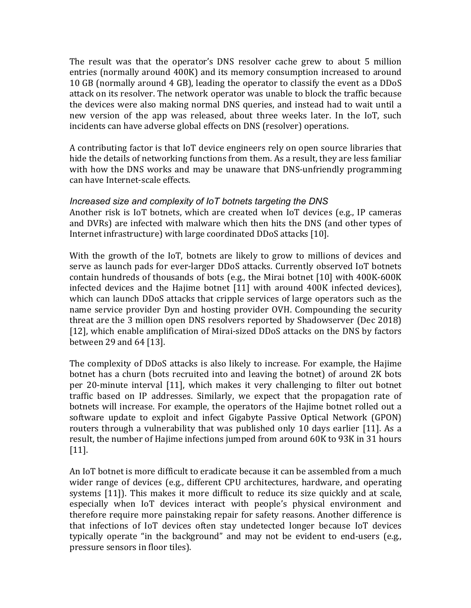The result was that the operator's DNS resolver cache grew to about 5 million entries (normally around 400K) and its memory consumption increased to around 10 GB (normally around 4 GB), leading the operator to classify the event as a DDoS attack on its resolver. The network operator was unable to block the traffic because the devices were also making normal DNS queries, and instead had to wait until a new version of the app was released, about three weeks later. In the IoT, such incidents can have adverse global effects on DNS (resolver) operations.

A contributing factor is that IoT device engineers rely on open source libraries that hide the details of networking functions from them. As a result, they are less familiar with how the DNS works and may be unaware that DNS-unfriendly programming can have Internet-scale effects.

#### *Increased size and complexity of IoT botnets targeting the DNS*

Another risk is IoT botnets, which are created when IoT devices (e.g., IP cameras and DVRs) are infected with malware which then hits the DNS (and other types of Internet infrastructure) with large coordinated DDoS attacks [10].

With the growth of the IoT, botnets are likely to grow to millions of devices and serve as launch pads for ever-larger DDoS attacks. Currently observed IoT botnets contain hundreds of thousands of bots (e.g., the Mirai botnet [10] with 400K-600K infected devices and the Hajime botnet [11] with around 400K infected devices), which can launch DDoS attacks that cripple services of large operators such as the name service provider Dyn and hosting provider OVH. Compounding the security threat are the 3 million open DNS resolvers reported by Shadowserver (Dec 2018) [12], which enable amplification of Mirai-sized DDoS attacks on the DNS by factors between 29 and 64 [13].

The complexity of DDoS attacks is also likely to increase. For example, the Hajime botnet has a churn (bots recruited into and leaving the botnet) of around 2K bots per 20-minute interval [11], which makes it very challenging to filter out botnet traffic based on IP addresses. Similarly, we expect that the propagation rate of botnets will increase. For example, the operators of the Hajime botnet rolled out a software update to exploit and infect Gigabyte Passive Optical Network (GPON) routers through a vulnerability that was published only 10 days earlier [11]. As a result, the number of Hajime infections jumped from around 60K to 93K in 31 hours [11].

An IoT botnet is more difficult to eradicate because it can be assembled from a much wider range of devices (e.g., different CPU architectures, hardware, and operating systems [11]). This makes it more difficult to reduce its size quickly and at scale, especially when IoT devices interact with people's physical environment and therefore require more painstaking repair for safety reasons. Another difference is that infections of IoT devices often stay undetected longer because IoT devices typically operate "in the background" and may not be evident to end-users (e.g., pressure sensors in floor tiles).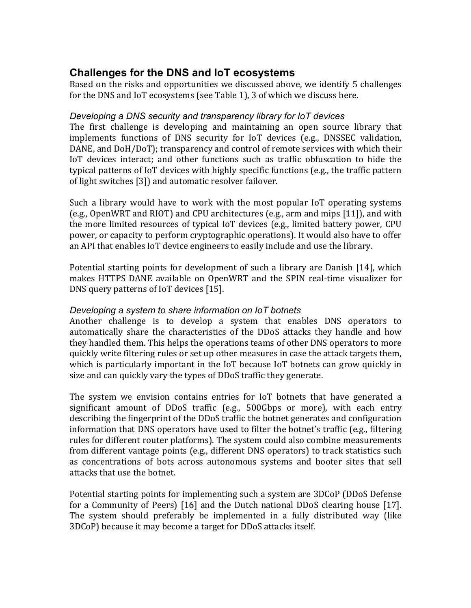## **Challenges for the DNS and IoT ecosystems**

Based on the risks and opportunities we discussed above, we identify 5 challenges for the DNS and IoT ecosystems (see Table 1), 3 of which we discuss here.

#### *Developing a DNS security and transparency library for IoT devices*

The first challenge is developing and maintaining an open source library that implements functions of DNS security for IoT devices (e.g., DNSSEC validation, DANE, and DoH/DoT); transparency and control of remote services with which their IoT devices interact; and other functions such as traffic obfuscation to hide the typical patterns of IoT devices with highly specific functions (e.g., the traffic pattern of light switches [3]) and automatic resolver failover.

Such a library would have to work with the most popular IoT operating systems (e.g., OpenWRT and RIOT) and CPU architectures (e.g., arm and mips [11]), and with the more limited resources of typical IoT devices (e.g., limited battery power, CPU power, or capacity to perform cryptographic operations). It would also have to offer an API that enables IoT device engineers to easily include and use the library.

Potential starting points for development of such a library are Danish [14], which makes HTTPS DANE available on OpenWRT and the SPIN real-time visualizer for DNS query patterns of IoT devices [15].

#### *Developing a system to share information on IoT botnets*

Another challenge is to develop a system that enables DNS operators to automatically share the characteristics of the DDoS attacks they handle and how they handled them. This helps the operations teams of other DNS operators to more quickly write filtering rules or set up other measures in case the attack targets them, which is particularly important in the IoT because IoT botnets can grow quickly in size and can quickly vary the types of DDoS traffic they generate.

The system we envision contains entries for IoT botnets that have generated a significant amount of DDoS traffic (e.g., 500Gbps or more), with each entry describing the fingerprint of the DDoS traffic the botnet generates and configuration information that DNS operators have used to filter the botnet's traffic (e.g., filtering rules for different router platforms). The system could also combine measurements from different vantage points (e.g., different DNS operators) to track statistics such as concentrations of bots across autonomous systems and booter sites that sell attacks that use the botnet.

Potential starting points for implementing such a system are 3DCoP (DDoS Defense for a Community of Peers) [16] and the Dutch national DDoS clearing house [17]. The system should preferably be implemented in a fully distributed way (like 3DCoP) because it may become a target for DDoS attacks itself.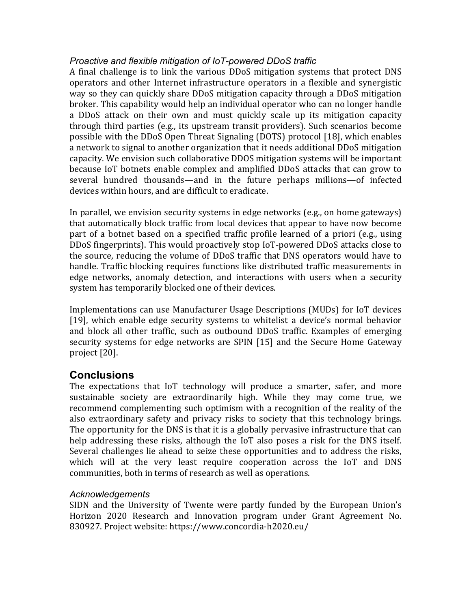#### *Proactive and flexible mitigation of IoT-powered DDoS traffic*

A final challenge is to link the various DDoS mitigation systems that protect DNS operators and other Internet infrastructure operators in a flexible and synergistic way so they can quickly share DDoS mitigation capacity through a DDoS mitigation broker. This capability would help an individual operator who can no longer handle a DDoS attack on their own and must quickly scale up its mitigation capacity through third parties (e.g., its upstream transit providers). Such scenarios become possible with the DDoS Open Threat Signaling (DOTS) protocol [18], which enables a network to signal to another organization that it needs additional DDoS mitigation capacity. We envision such collaborative DDOS mitigation systems will be important because IoT botnets enable complex and amplified DDoS attacks that can grow to several hundred thousands—and in the future perhaps millions—of infected devices within hours, and are difficult to eradicate.

In parallel, we envision security systems in edge networks (e.g., on home gateways) that automatically block traffic from local devices that appear to have now become part of a botnet based on a specified traffic profile learned of a priori (e.g., using DDoS fingerprints). This would proactively stop IoT-powered DDoS attacks close to the source, reducing the volume of DDoS traffic that DNS operators would have to handle. Traffic blocking requires functions like distributed traffic measurements in edge networks, anomaly detection, and interactions with users when a security system has temporarily blocked one of their devices.

Implementations can use Manufacturer Usage Descriptions (MUDs) for IoT devices [19], which enable edge security systems to whitelist a device's normal behavior and block all other traffic, such as outbound DDoS traffic. Examples of emerging security systems for edge networks are SPIN [15] and the Secure Home Gateway project [20].

## **Conclusions**

The expectations that IoT technology will produce a smarter, safer, and more sustainable society are extraordinarily high. While they may come true, we recommend complementing such optimism with a recognition of the reality of the also extraordinary safety and privacy risks to society that this technology brings. The opportunity for the DNS is that it is a globally pervasive infrastructure that can help addressing these risks, although the IoT also poses a risk for the DNS itself. Several challenges lie ahead to seize these opportunities and to address the risks, which will at the very least require cooperation across the IoT and DNS communities, both in terms of research as well as operations. 

#### *Acknowledgements*

SIDN and the University of Twente were partly funded by the European Union's Horizon 2020 Research and Innovation program under Grant Agreement No. 830927. Project website: https://www.concordia-h2020.eu/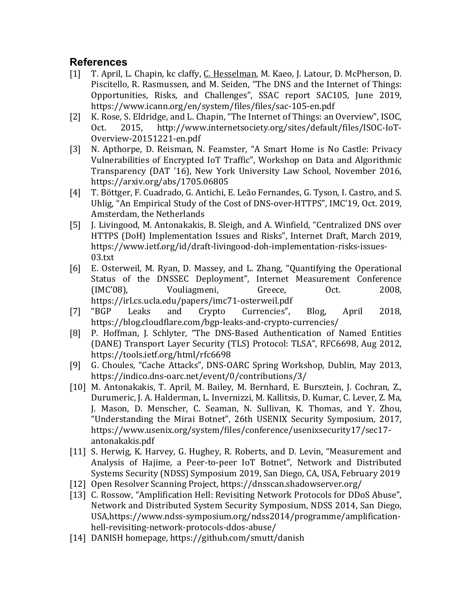## **References**

- [1] T. April, L. Chapin, kc claffy, C. Hesselman, M. Kaeo, J. Latour, D. McPherson, D. Piscitello, R. Rasmussen, and M. Seiden, "The DNS and the Internet of Things: Opportunities, Risks, and Challenges", SSAC report SAC105, June 2019, https://www.icann.org/en/system/files/files/sac-105-en.pdf
- [2] K. Rose, S. Eldridge, and L. Chapin, "The Internet of Things: an Overview", ISOC, Oct. 2015, http://www.internetsociety.org/sites/default/files/ISOC-IoT-Overview-20151221-en.pdf
- [3] N. Apthorpe, D. Reisman, N. Feamster, "A Smart Home is No Castle: Privacy Vulnerabilities of Encrypted IoT Traffic", Workshop on Data and Algorithmic Transparency (DAT '16), New York University Law School, November 2016, https://arxiv.org/abs/1705.06805
- [4] T. Böttger, F. Cuadrado, G. Antichi, E. Leão Fernandes, G. Tyson, I. Castro, and S. Uhlig, "An Empirical Study of the Cost of DNS-over-HTTPS", IMC'19, Oct. 2019, Amsterdam, the Netherlands
- [5] J. Livingood, M. Antonakakis, B. Sleigh, and A. Winfield, "Centralized DNS over HTTPS (DoH) Implementation Issues and Risks", Internet Draft, March 2019, https://www.ietf.org/id/draft-livingood-doh-implementation-risks-issues-03.txt
- [6] E. Osterweil, M. Ryan, D. Massey, and L. Zhang, "Quantifying the Operational Status of the DNSSEC Deployment", Internet Measurement Conference (IMC'08), Vouliagmeni, Greece, Oct. 2008, https://irl.cs.ucla.edu/papers/imc71-osterweil.pdf
- [7] "BGP Leaks and Crypto Currencies", Blog, April 2018, https://blog.cloudflare.com/bgp-leaks-and-crypto-currencies/
- [8] P. Hoffman, J. Schlyter, "The DNS-Based Authentication of Named Entities (DANE) Transport Layer Security (TLS) Protocol: TLSA", RFC6698, Aug 2012, https://tools.ietf.org/html/rfc6698
- [9] G. Choules, "Cache Attacks", DNS-OARC Spring Workshop, Dublin, May 2013, https://indico.dns-oarc.net/event/0/contributions/3/
- [10] M. Antonakakis, T. April, M. Bailey, M. Bernhard, E. Bursztein, J. Cochran, Z., Durumeric, J. A. Halderman, L. Invernizzi, M. Kallitsis, D. Kumar, C. Lever, Z. Ma, J. Mason, D. Menscher, C. Seaman, N. Sullivan, K. Thomas, and Y. Zhou, "Understanding the Mirai Botnet", 26th USENIX Security Symposium, 2017, https://www.usenix.org/system/files/conference/usenixsecurity17/sec17 antonakakis.pdf
- [11] S. Herwig, K. Harvey, G. Hughey, R. Roberts, and D. Levin, "Measurement and Analysis of Hajime, a Peer-to-peer IoT Botnet", Network and Distributed Systems Security (NDSS) Symposium 2019, San Diego, CA, USA, February 2019
- [12] Open Resolver Scanning Project, https://dnsscan.shadowserver.org/
- [13] C. Rossow, "Amplification Hell: Revisiting Network Protocols for DDoS Abuse", Network and Distributed System Security Symposium, NDSS 2014, San Diego, USA,https://www.ndss-symposium.org/ndss2014/programme/amplificationhell-revisiting-network-protocols-ddos-abuse/
- [14] DANISH homepage, https://github.com/smutt/danish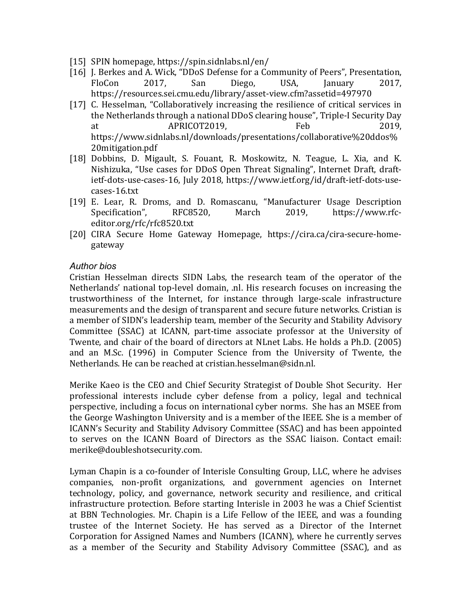- [15] SPIN homepage, https://spin.sidnlabs.nl/en/
- [16] J. Berkes and A. Wick, "DDoS Defense for a Community of Peers", Presentation, FloCon 2017, San Diego, USA, January 2017, https://resources.sei.cmu.edu/library/asset-view.cfm?assetid=497970
- [17] C. Hesselman, "Collaboratively increasing the resilience of critical services in the Netherlands through a national DDoS clearing house", Triple-I Security Day at APRICOT2019, Feb 2019, https://www.sidnlabs.nl/downloads/presentations/collaborative%20ddos% 20mitigation.pdf
- [18] Dobbins, D. Migault, S. Fouant, R. Moskowitz, N. Teague, L. Xia, and K. Nishizuka, "Use cases for DDoS Open Threat Signaling", Internet Draft, draftietf-dots-use-cases-16, July 2018, https://www.ietf.org/id/draft-ietf-dots-usecases-16.txt
- [19] E. Lear, R. Droms, and D. Romascanu, "Manufacturer Usage Description Specification", RFC8520, March 2019, https://www.rfceditor.org/rfc/rfc8520.txt
- [20] CIRA Secure Home Gateway Homepage, https://cira.ca/cira-secure-homegateway

#### *Author bios*

Cristian Hesselman directs SIDN Labs, the research team of the operator of the Netherlands' national top-level domain, .nl. His research focuses on increasing the trustworthiness of the Internet, for instance through large-scale infrastructure measurements and the design of transparent and secure future networks. Cristian is a member of SIDN's leadership team, member of the Security and Stability Advisory Committee (SSAC) at ICANN, part-time associate professor at the University of Twente, and chair of the board of directors at NLnet Labs. He holds a Ph.D. (2005) and an M.Sc. (1996) in Computer Science from the University of Twente, the Netherlands. He can be reached at cristian.hesselman@sidn.nl.

Merike Kaeo is the CEO and Chief Security Strategist of Double Shot Security. Her professional interests include cyber defense from a policy, legal and technical perspective, including a focus on international cyber norms. She has an MSEE from the George Washington University and is a member of the IEEE. She is a member of ICANN's Security and Stability Advisory Committee (SSAC) and has been appointed to serves on the ICANN Board of Directors as the SSAC liaison. Contact email: merike@doubleshotsecurity.com.

Lyman Chapin is a co-founder of Interisle Consulting Group, LLC, where he advises companies, non-profit organizations, and government agencies on Internet technology, policy, and governance, network security and resilience, and critical infrastructure protection. Before starting Interisle in 2003 he was a Chief Scientist at BBN Technologies. Mr. Chapin is a Life Fellow of the IEEE, and was a founding trustee of the Internet Society. He has served as a Director of the Internet Corporation for Assigned Names and Numbers (ICANN), where he currently serves as a member of the Security and Stability Advisory Committee (SSAC), and as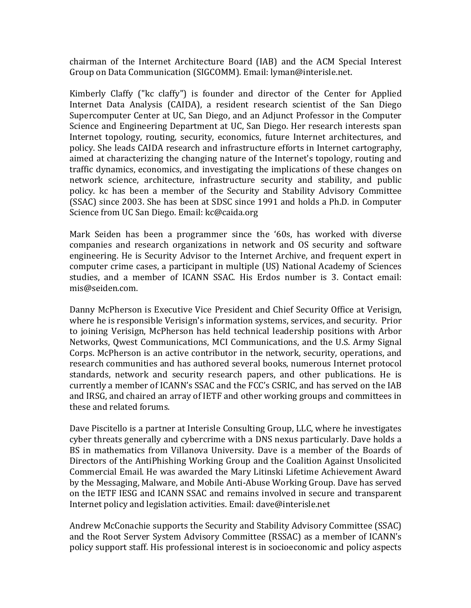chairman of the Internet Architecture Board (IAB) and the ACM Special Interest Group on Data Communication (SIGCOMM). Email: lyman@interisle.net.

Kimberly Claffy ("kc claffy") is founder and director of the Center for Applied Internet Data Analysis (CAIDA), a resident research scientist of the San Diego Supercomputer Center at UC, San Diego, and an Adjunct Professor in the Computer Science and Engineering Department at UC, San Diego. Her research interests span Internet topology, routing, security, economics, future Internet architectures, and policy. She leads CAIDA research and infrastructure efforts in Internet cartography, aimed at characterizing the changing nature of the Internet's topology, routing and traffic dynamics, economics, and investigating the implications of these changes on network science, architecture, infrastructure security and stability, and public policy. kc has been a member of the Security and Stability Advisory Committee (SSAC) since 2003. She has been at SDSC since 1991 and holds a Ph.D. in Computer Science from UC San Diego. Email: kc@caida.org

Mark Seiden has been a programmer since the '60s, has worked with diverse companies and research organizations in network and OS security and software engineering. He is Security Advisor to the Internet Archive, and frequent expert in computer crime cases, a participant in multiple (US) National Academy of Sciences studies, and a member of ICANN SSAC. His Erdos number is 3. Contact email: mis@seiden.com.

Danny McPherson is Executive Vice President and Chief Security Office at Verisign, where he is responsible Verisign's information systems, services, and security. Prior to joining Verisign, McPherson has held technical leadership positions with Arbor Networks, Qwest Communications, MCI Communications, and the U.S. Army Signal Corps. McPherson is an active contributor in the network, security, operations, and research communities and has authored several books, numerous Internet protocol standards, network and security research papers, and other publications. He is currently a member of ICANN's SSAC and the FCC's CSRIC, and has served on the IAB and IRSG, and chaired an array of IETF and other working groups and committees in these and related forums.

Dave Piscitello is a partner at Interisle Consulting Group, LLC, where he investigates cyber threats generally and cybercrime with a DNS nexus particularly. Dave holds a BS in mathematics from Villanova University. Dave is a member of the Boards of Directors of the AntiPhishing Working Group and the Coalition Against Unsolicited Commercial Email. He was awarded the Mary Litinski Lifetime Achievement Award by the Messaging, Malware, and Mobile Anti-Abuse Working Group. Dave has served on the IETF IESG and ICANN SSAC and remains involved in secure and transparent Internet policy and legislation activities. Email: dave@interisle.net

Andrew McConachie supports the Security and Stability Advisory Committee (SSAC) and the Root Server System Advisory Committee (RSSAC) as a member of ICANN's policy support staff. His professional interest is in socioeconomic and policy aspects